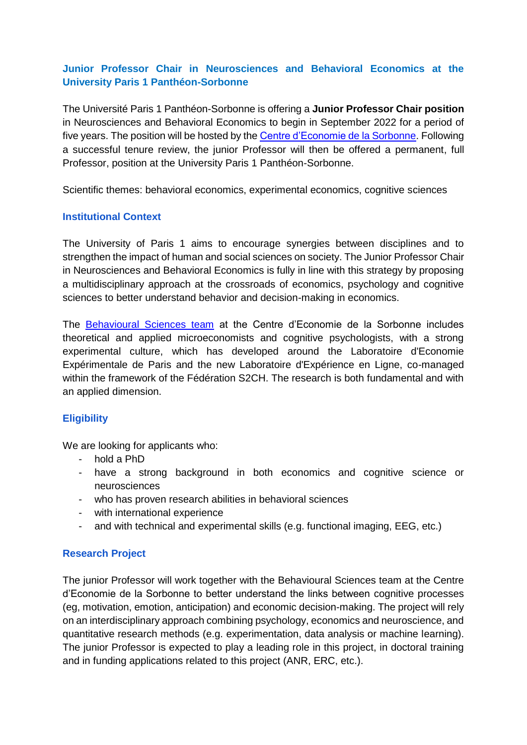# **Junior Professor Chair in Neurosciences and Behavioral Economics at the University Paris 1 Panthéon-Sorbonne**

The Université Paris 1 Panthéon-Sorbonne is offering a **Junior Professor Chair position** in Neurosciences and Behavioral Economics to begin in September 2022 for a period of five years. The position will be hosted by the [Centre d'Economie de la Sorbonne.](https://centredeconomiesorbonne.cnrs.fr/en/portfolio/behavioural-sciences/) Following a successful tenure review, the junior Professor will then be offered a permanent, full Professor, position at the University Paris 1 Panthéon-Sorbonne.

Scientific themes: behavioral economics, experimental economics, cognitive sciences

# **Institutional Context**

The University of Paris 1 aims to encourage synergies between disciplines and to strengthen the impact of human and social sciences on society. The Junior Professor Chair in Neurosciences and Behavioral Economics is fully in line with this strategy by proposing a multidisciplinary approach at the crossroads of economics, psychology and cognitive sciences to better understand behavior and decision-making in economics.

The [Behavioural Sciences team](https://centredeconomiesorbonne.cnrs.fr/en/portfolio/behavioural-sciences/) at the Centre d'Economie de la Sorbonne includes theoretical and applied microeconomists and cognitive psychologists, with a strong experimental culture, which has developed around the Laboratoire d'Economie Expérimentale de Paris and the new Laboratoire d'Expérience en Ligne, co-managed within the framework of the Fédération S2CH. The research is both fundamental and with an applied dimension.

# **Eligibility**

We are looking for applicants who:

- hold a PhD
- have a strong background in both economics and cognitive science or neurosciences
- who has proven research abilities in behavioral sciences
- with international experience
- and with technical and experimental skills (e.g. functional imaging, EEG, etc.)

### **Research Project**

The junior Professor will work together with the Behavioural Sciences team at the Centre d'Economie de la Sorbonne to better understand the links between cognitive processes (eg, motivation, emotion, anticipation) and economic decision-making. The project will rely on an interdisciplinary approach combining psychology, economics and neuroscience, and quantitative research methods (e.g. experimentation, data analysis or machine learning). The junior Professor is expected to play a leading role in this project, in doctoral training and in funding applications related to this project (ANR, ERC, etc.).